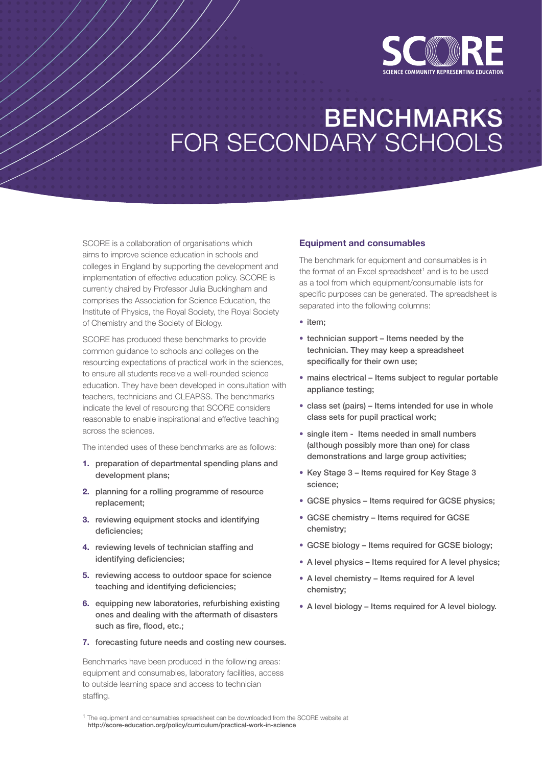

# BENCHMARKS FOR SECONDARY SCHOOLS

SCORE is a collaboration of organisations which aims to improve science education in schools and colleges in England by supporting the development and implementation of effective education policy. SCORE is currently chaired by Professor Julia Buckingham and comprises the Association for Science Education, the Institute of Physics, the Royal Society, the Royal Society of Chemistry and the Society of Biology.

SCORE has produced these benchmarks to provide common guidance to schools and colleges on the resourcing expectations of practical work in the sciences, to ensure all students receive a well-rounded science education. They have been developed in consultation with teachers, technicians and CLEAPSS. The benchmarks indicate the level of resourcing that SCORE considers reasonable to enable inspirational and effective teaching across the sciences.

The intended uses of these benchmarks are as follows:

- **1.** preparation of departmental spending plans and development plans;
- **2.** planning for a rolling programme of resource replacement;
- **3.** reviewing equipment stocks and identifying deficiencies;
- **4.** reviewing levels of technician staffing and identifying deficiencies;
- **5.** reviewing access to outdoor space for science teaching and identifying deficiencies;
- **6.** equipping new laboratories, refurbishing existing ones and dealing with the aftermath of disasters such as fire, flood, etc.;
- **7.** forecasting future needs and costing new courses.

Benchmarks have been produced in the following areas: equipment and consumables, laboratory facilities, access to outside learning space and access to technician staffing.

#### **Equipment and consumables**

The benchmark for equipment and consumables is in the format of an Excel spreadsheet<sup>1</sup> and is to be used as a tool from which equipment/consumable lists for specific purposes can be generated. The spreadsheet is separated into the following columns:

- item;
- technician support Items needed by the technician. They may keep a spreadsheet specifically for their own use;
- mains electrical Items subiect to regular portable appliance testing;
- class set (pairs) Items intended for use in whole class sets for pupil practical work;
- single item Items needed in small numbers (although possibly more than one) for class demonstrations and large group activities;
- Key Stage 3 Items required for Key Stage 3 science;
- GCSE physics Items required for GCSE physics;
- GCSE chemistry Items required for GCSE chemistry;
- GCSE biology Items required for GCSE biology;
- A level physics Items required for A level physics;
- A level chemistry Items required for A level chemistry;
- A level biology Items required for A level biology.

<sup>1</sup> The equipment and consumables spreadsheet can be downloaded from the SCORE website at http://score-education.org/policy/curriculum/practical-work-in-science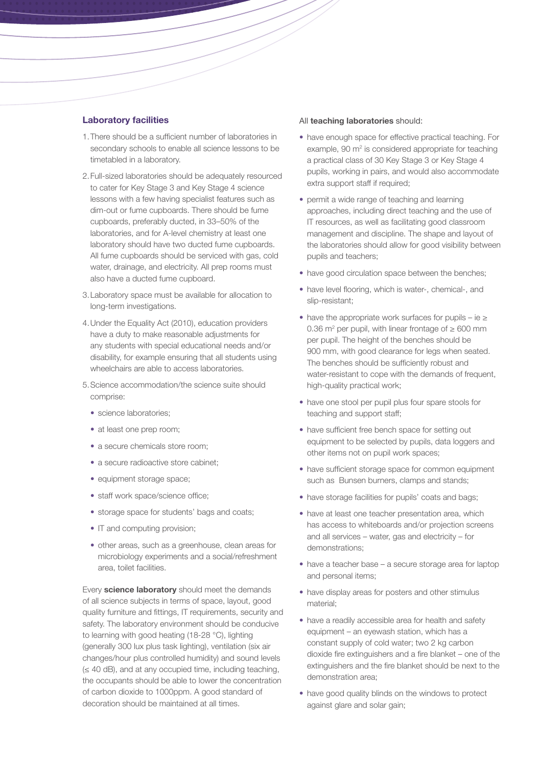#### **Laboratory facilities**

- 1.There should be a sufficient number of laboratories in secondary schools to enable all science lessons to be timetabled in a laboratory.
- 2.Full-sized laboratories should be adequately resourced to cater for Key Stage 3 and Key Stage 4 science lessons with a few having specialist features such as dim-out or fume cupboards. There should be fume cupboards, preferably ducted, in 33–50% of the laboratories, and for A-level chemistry at least one laboratory should have two ducted fume cupboards. All fume cupboards should be serviced with gas, cold water, drainage, and electricity. All prep rooms must also have a ducted fume cupboard.
- 3.Laboratory space must be available for allocation to long-term investigations.
- 4.Under the Equality Act (2010), education providers have a duty to make reasonable adjustments for any students with special educational needs and/or disability, for example ensuring that all students using wheelchairs are able to access laboratories.
- 5.Science accommodation/the science suite should comprise:
	- science laboratories;
	- at least one prep room;
	- a secure chemicals store room;
	- a secure radioactive store cabinet:
	- equipment storage space;
	- staff work space/science office;
	- storage space for students' bags and coats;
	- IT and computing provision;
	- other areas, such as a greenhouse, clean areas for microbiology experiments and a social/refreshment area, toilet facilities.

Every **science laboratory** should meet the demands of all science subjects in terms of space, layout, good quality furniture and fittings, IT requirements, security and safety. The laboratory environment should be conducive to learning with good heating (18-28 °C), lighting (generally 300 lux plus task lighting), ventilation (six air changes/hour plus controlled humidity) and sound levels (≤ 40 dB), and at any occupied time, including teaching, the occupants should be able to lower the concentration of carbon dioxide to 1000ppm. A good standard of decoration should be maintained at all times.

#### All **teaching laboratories** should:

- have enough space for effective practical teaching. For  $example$ , 90  $m<sup>2</sup>$  is considered appropriate for teaching a practical class of 30 Key Stage 3 or Key Stage 4 pupils, working in pairs, and would also accommodate extra support staff if required;
- permit a wide range of teaching and learning approaches, including direct teaching and the use of IT resources, as well as facilitating good classroom management and discipline. The shape and layout of the laboratories should allow for good visibility between pupils and teachers;
- have good circulation space between the benches;
- have level flooring, which is water-, chemical-, and slip-resistant;
- have the appropriate work surfaces for pupils ie ≥ 0.36 m<sup>2</sup> per pupil, with linear frontage of  $\geq 600$  mm per pupil. The height of the benches should be 900 mm, with good clearance for legs when seated. The benches should be sufficiently robust and water-resistant to cope with the demands of frequent, high-quality practical work;
- have one stool per pupil plus four spare stools for teaching and support staff;
- have sufficient free bench space for setting out equipment to be selected by pupils, data loggers and other items not on pupil work spaces;
- have sufficient storage space for common equipment such as Bunsen burners, clamps and stands;
- have storage facilities for pupils' coats and bags;
- have at least one teacher presentation area, which has access to whiteboards and/or projection screens and all services – water, gas and electricity – for demonstrations;
- have a teacher base a secure storage area for laptop and personal items;
- have display areas for posters and other stimulus material;
- have a readily accessible area for health and safety equipment – an eyewash station, which has a constant supply of cold water; two 2 kg carbon dioxide fire extinguishers and a fire blanket – one of the extinguishers and the fire blanket should be next to the demonstration area;
- have good quality blinds on the windows to protect against glare and solar gain;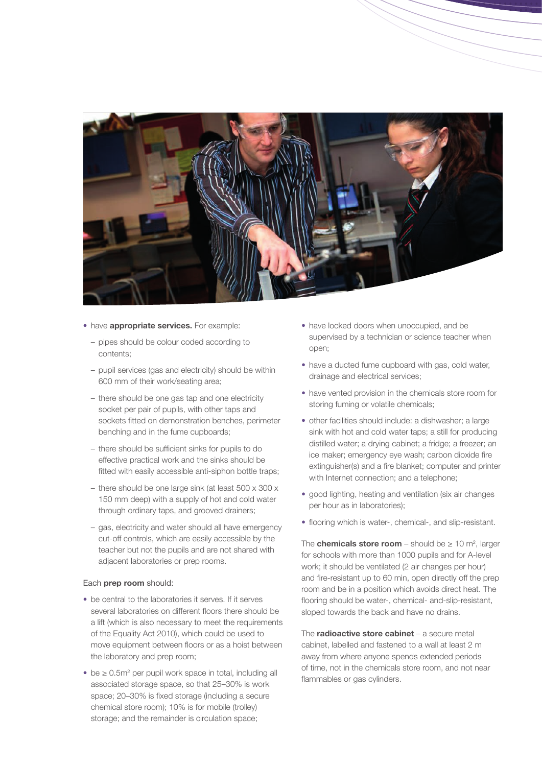

- have **appropriate services.** For example:
	- pipes should be colour coded according to contents;
	- pupil services (gas and electricity) should be within 600 mm of their work/seating area;
	- there should be one gas tap and one electricity socket per pair of pupils, with other taps and sockets fitted on demonstration benches, perimeter benching and in the fume cupboards;
	- there should be sufficient sinks for pupils to do effective practical work and the sinks should be fitted with easily accessible anti-siphon bottle traps;
	- there should be one large sink (at least 500 x 300 x 150 mm deep) with a supply of hot and cold water through ordinary taps, and grooved drainers;
	- gas, electricity and water should all have emergency cut-off controls, which are easily accessible by the teacher but not the pupils and are not shared with adjacent laboratories or prep rooms.

#### Each **prep room** should:

- be central to the laboratories it serves. If it serves several laboratories on different floors there should be a lift (which is also necessary to meet the requirements of the Equality Act 2010), which could be used to move equipment between floors or as a hoist between the laboratory and prep room;
- be ≥ 0.5m<sup>2</sup> per pupil work space in total, including all associated storage space, so that 25–30% is work space; 20–30% is fixed storage (including a secure chemical store room); 10% is for mobile (trolley) storage; and the remainder is circulation space;
- have locked doors when unoccupied, and be supervised by a technician or science teacher when open;
- have a ducted fume cupboard with gas, cold water, drainage and electrical services;
- have vented provision in the chemicals store room for storing fuming or volatile chemicals;
- other facilities should include: a dishwasher; a large sink with hot and cold water taps; a still for producing distilled water; a drying cabinet; a fridge; a freezer; an ice maker; emergency eye wash; carbon dioxide fire extinguisher(s) and a fire blanket; computer and printer with Internet connection; and a telephone;
- good lighting, heating and ventilation (six air changes per hour as in laboratories);
- flooring which is water-, chemical-, and slip-resistant.

The **chemicals store room** – should be  $\geq 10$  m<sup>2</sup>, larger for schools with more than 1000 pupils and for A-level work; it should be ventilated (2 air changes per hour) and fire-resistant up to 60 min, open directly off the prep room and be in a position which avoids direct heat. The flooring should be water-, chemical- and-slip-resistant, sloped towards the back and have no drains.

The **radioactive store cabinet** – a secure metal cabinet, labelled and fastened to a wall at least 2 m away from where anyone spends extended periods of time, not in the chemicals store room, and not near flammables or gas cylinders.